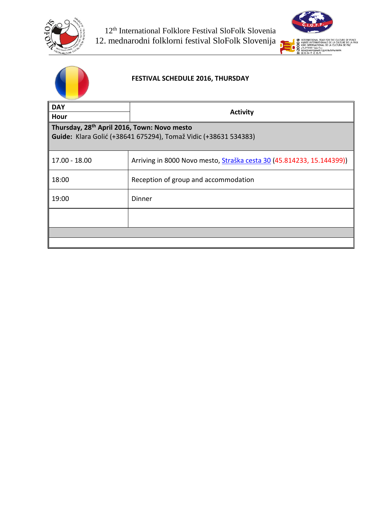





### **FESTIVAL SCHEDULE 2016, THURSDAY**

| <b>Activity</b>                                                                                                            |  |  |  |
|----------------------------------------------------------------------------------------------------------------------------|--|--|--|
| Thursday, 28 <sup>th</sup> April 2016, Town: Novo mesto<br>Guide: Klara Golić (+38641 675294), Tomaž Vidic (+38631 534383) |  |  |  |
| Arriving in 8000 Novo mesto, Straška cesta 30 (45.814233, 15.144399))                                                      |  |  |  |
| Reception of group and accommodation                                                                                       |  |  |  |
| Dinner                                                                                                                     |  |  |  |
|                                                                                                                            |  |  |  |
|                                                                                                                            |  |  |  |
|                                                                                                                            |  |  |  |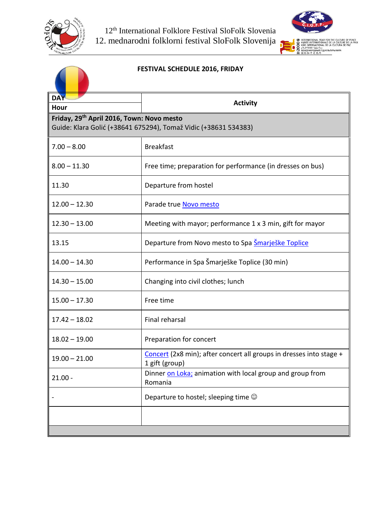



### **FESTIVAL SCHEDULE 2016, FRIDAY**

| <b>DAY</b><br>Hour                                              | <b>Activity</b>                                                                       |  |  |  |
|-----------------------------------------------------------------|---------------------------------------------------------------------------------------|--|--|--|
| Friday, 29 <sup>th</sup> April 2016, Town: Novo mesto           |                                                                                       |  |  |  |
| Guide: Klara Golić (+38641 675294), Tomaž Vidic (+38631 534383) |                                                                                       |  |  |  |
| $7.00 - 8.00$                                                   | <b>Breakfast</b>                                                                      |  |  |  |
| $8.00 - 11.30$                                                  | Free time; preparation for performance (in dresses on bus)                            |  |  |  |
| 11.30                                                           | Departure from hostel                                                                 |  |  |  |
| $12.00 - 12.30$                                                 | Parade true Novo mesto                                                                |  |  |  |
| $12.30 - 13.00$                                                 | Meeting with mayor; performance 1 x 3 min, gift for mayor                             |  |  |  |
| 13.15                                                           | Departure from Novo mesto to Spa Smarješke Toplice                                    |  |  |  |
| $14.00 - 14.30$                                                 | Performance in Spa Šmarješke Toplice (30 min)                                         |  |  |  |
| $14.30 - 15.00$                                                 | Changing into civil clothes; lunch                                                    |  |  |  |
| $15.00 - 17.30$                                                 | Free time                                                                             |  |  |  |
| $17.42 - 18.02$                                                 | Final reharsal                                                                        |  |  |  |
| $18.02 - 19.00$                                                 | Preparation for concert                                                               |  |  |  |
| $19.00 - 21.00$                                                 | Concert (2x8 min); after concert all groups in dresses into stage +<br>1 gift (group) |  |  |  |
| $21.00 -$                                                       | Dinner on Loka; animation with local group and group from<br>Romania                  |  |  |  |
|                                                                 | Departure to hostel; sleeping time $\odot$                                            |  |  |  |
|                                                                 |                                                                                       |  |  |  |
|                                                                 |                                                                                       |  |  |  |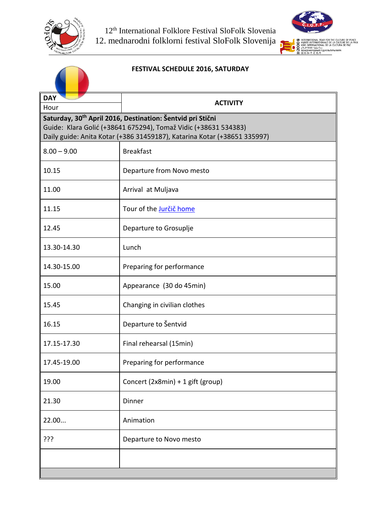



# **FESTIVAL SCHEDULE 2016, SATURDAY**

| <b>DAY</b>                                                               | <b>ACTIVITY</b>                                                        |  |  |
|--------------------------------------------------------------------------|------------------------------------------------------------------------|--|--|
| Hour                                                                     |                                                                        |  |  |
|                                                                          | Saturday, 30 <sup>th</sup> April 2016, Destination: Šentvid pri Stični |  |  |
| Guide: Klara Golić (+38641 675294), Tomaž Vidic (+38631 534383)          |                                                                        |  |  |
| Daily guide: Anita Kotar (+386 31459187), Katarina Kotar (+38651 335997) |                                                                        |  |  |
| $8.00 - 9.00$                                                            | <b>Breakfast</b>                                                       |  |  |
| 10.15                                                                    | Departure from Novo mesto                                              |  |  |
| 11.00                                                                    | Arrival at Muljava                                                     |  |  |
| 11.15                                                                    | Tour of the Jurčič home                                                |  |  |
| 12.45                                                                    | Departure to Grosuplje                                                 |  |  |
| 13.30-14.30                                                              | Lunch                                                                  |  |  |
| 14.30-15.00                                                              | Preparing for performance                                              |  |  |
| 15.00                                                                    | Appearance (30 do 45min)                                               |  |  |
| 15.45                                                                    | Changing in civilian clothes                                           |  |  |
| 16.15                                                                    | Departure to Šentvid                                                   |  |  |
| 17.15-17.30                                                              | Final rehearsal (15min)                                                |  |  |
| 17.45-19.00                                                              | Preparing for performance                                              |  |  |
| 19.00                                                                    | Concert (2x8min) + 1 gift (group)                                      |  |  |
| 21.30                                                                    | Dinner                                                                 |  |  |
| 22.00                                                                    | Animation                                                              |  |  |
| ???                                                                      | Departure to Novo mesto                                                |  |  |
|                                                                          |                                                                        |  |  |
|                                                                          |                                                                        |  |  |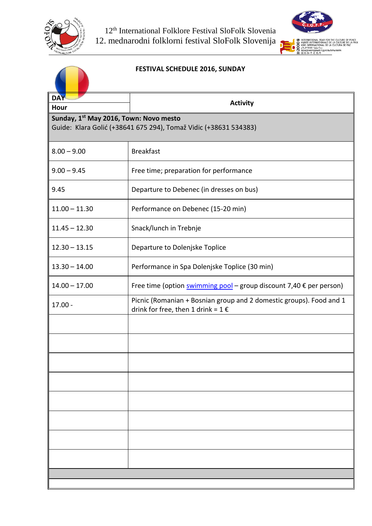



# **FESTIVAL SCHEDULE 2016, SUNDAY**

| <b>DAY</b>                                                                                                             |                                                                                                                        |  |  |
|------------------------------------------------------------------------------------------------------------------------|------------------------------------------------------------------------------------------------------------------------|--|--|
| Hour                                                                                                                   | <b>Activity</b>                                                                                                        |  |  |
| Sunday, 1 <sup>st</sup> May 2016, Town: Novo mesto<br>Guide: Klara Golić (+38641 675 294), Tomaž Vidic (+38631 534383) |                                                                                                                        |  |  |
| $8.00 - 9.00$                                                                                                          | <b>Breakfast</b>                                                                                                       |  |  |
| $9.00 - 9.45$                                                                                                          | Free time; preparation for performance                                                                                 |  |  |
| 9.45                                                                                                                   | Departure to Debenec (in dresses on bus)                                                                               |  |  |
| $11.00 - 11.30$                                                                                                        | Performance on Debenec (15-20 min)                                                                                     |  |  |
| $11.45 - 12.30$                                                                                                        | Snack/lunch in Trebnje                                                                                                 |  |  |
| $12.30 - 13.15$                                                                                                        | Departure to Dolenjske Toplice                                                                                         |  |  |
| $13.30 - 14.00$                                                                                                        | Performance in Spa Dolenjske Toplice (30 min)                                                                          |  |  |
| $14.00 - 17.00$                                                                                                        | Free time (option swimming pool – group discount 7,40 $\epsilon$ per person)                                           |  |  |
| $17.00 -$                                                                                                              | Picnic (Romanian + Bosnian group and 2 domestic groups). Food and 1<br>drink for free, then 1 drink = $1 \text{ } \in$ |  |  |
|                                                                                                                        |                                                                                                                        |  |  |
|                                                                                                                        |                                                                                                                        |  |  |
|                                                                                                                        |                                                                                                                        |  |  |
|                                                                                                                        |                                                                                                                        |  |  |
|                                                                                                                        |                                                                                                                        |  |  |
|                                                                                                                        |                                                                                                                        |  |  |
|                                                                                                                        |                                                                                                                        |  |  |
|                                                                                                                        |                                                                                                                        |  |  |
|                                                                                                                        |                                                                                                                        |  |  |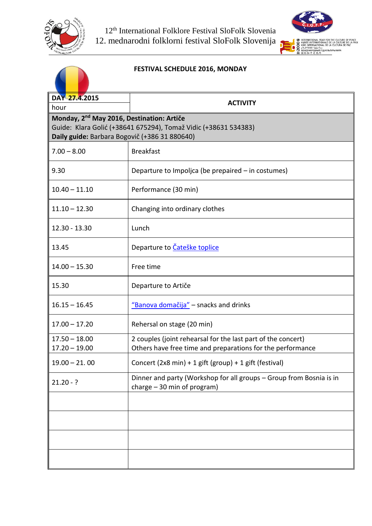



#### **FESTIVAL SCHEDULE 2016, MONDAY**

| DAY 27.4.2015                                                                                                                                                             |                                                                                                                            |  |  |
|---------------------------------------------------------------------------------------------------------------------------------------------------------------------------|----------------------------------------------------------------------------------------------------------------------------|--|--|
| hour                                                                                                                                                                      | <b>ACTIVITY</b>                                                                                                            |  |  |
| Monday, 2 <sup>nd</sup> May 2016, Destination: Artiče<br>Guide: Klara Golić (+38641 675294), Tomaž Vidic (+38631 534383)<br>Daily guide: Barbara Bogovič (+386 31 880640) |                                                                                                                            |  |  |
| $7.00 - 8.00$                                                                                                                                                             | <b>Breakfast</b>                                                                                                           |  |  |
| 9.30                                                                                                                                                                      | Departure to Impoljca (be prepaired – in costumes)                                                                         |  |  |
| $10.40 - 11.10$                                                                                                                                                           | Performance (30 min)                                                                                                       |  |  |
| $11.10 - 12.30$                                                                                                                                                           | Changing into ordinary clothes                                                                                             |  |  |
| 12.30 - 13.30                                                                                                                                                             | Lunch                                                                                                                      |  |  |
| 13.45                                                                                                                                                                     | Departure to Čateške toplice                                                                                               |  |  |
| $14.00 - 15.30$                                                                                                                                                           | Free time                                                                                                                  |  |  |
| 15.30                                                                                                                                                                     | Departure to Artiče                                                                                                        |  |  |
| $16.15 - 16.45$                                                                                                                                                           | "Banova domačija" - snacks and drinks                                                                                      |  |  |
| $17.00 - 17.20$                                                                                                                                                           | Rehersal on stage (20 min)                                                                                                 |  |  |
| $17.50 - 18.00$<br>$17.20 - 19.00$                                                                                                                                        | 2 couples (joint rehearsal for the last part of the concert)<br>Others have free time and preparations for the performance |  |  |
| $19.00 - 21.00$                                                                                                                                                           | Concert (2x8 min) + 1 gift (group) + 1 gift (festival)                                                                     |  |  |
| $21.20 - ?$                                                                                                                                                               | Dinner and party (Workshop for all groups - Group from Bosnia is in<br>charge $-30$ min of program)                        |  |  |
|                                                                                                                                                                           |                                                                                                                            |  |  |
|                                                                                                                                                                           |                                                                                                                            |  |  |
|                                                                                                                                                                           |                                                                                                                            |  |  |
|                                                                                                                                                                           |                                                                                                                            |  |  |